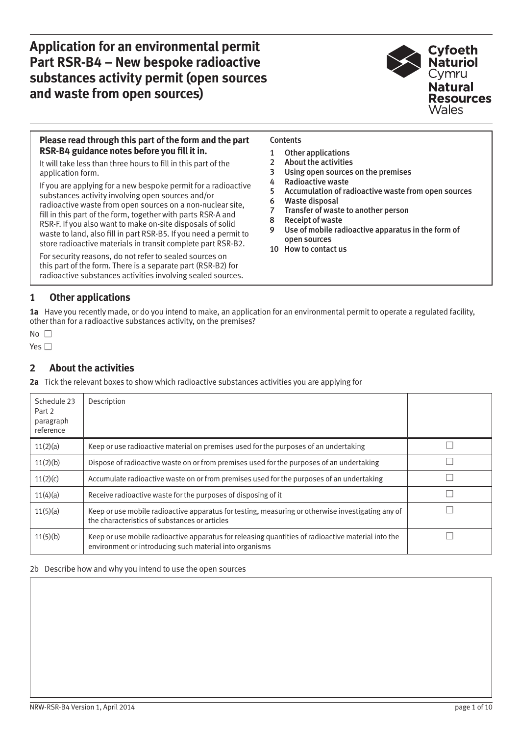**Application for an environmental permit Part RSR-B4 – New bespoke radioactive substances activity permit (open sources and waste from open sources)**



### **Please read through this part of the form and the part RSR-B4 guidance notes before you fill it in.**

It will take less than three hours to fill in this part of the application form.

If you are applying for a new bespoke permit for a radioactive substances activity involving open sources and/or radioactive waste from open sources on a non-nuclear site, fill in this part of the form, together with parts RSR-A and RSR-F. If you also want to make on-site disposals of solid waste to land, also fill in part RSR-B5. If you need a permit to store radioactive materials in transit complete part RSR-B2.

For security reasons, do not refer to sealed sources on this part of the form. There is a separate part (RSR-B2) for radioactive substances activities involving sealed sources.

### **Contents**

- 1 Other applications
- 2 About the activities
- [3 Using open sources on the premises](#page-1-0)
- [4 Radioactive waste](#page-1-0)
- [5 Accumulation of radioactive waste from open sources](#page-1-0)
- [6 Waste disposal](#page-3-0)
- [7 Transfer of waste to another person](#page-5-0)
- [8 Receipt of waste](#page-7-0)
- [9 Use of mobile radioactive apparatus in the form of](#page-7-0)  open sources
- [10 How to contact us](#page-8-0)

# **1 Other applications**

**1a** Have you recently made, or do you intend to make, an application for an environmental permit to operate a regulated facility, other than for a radioactive substances activity, on the premises?

# **2 About the activities**

**2a** Tick the relevant boxes to show which radioactive substances activities you are applying for

| Schedule 23<br>Part 2<br>paragraph<br>reference | Description                                                                                                                                                   |  |
|-------------------------------------------------|---------------------------------------------------------------------------------------------------------------------------------------------------------------|--|
| 11(2)(a)                                        | Keep or use radioactive material on premises used for the purposes of an undertaking                                                                          |  |
| 11(2)(b)                                        | Dispose of radioactive waste on or from premises used for the purposes of an undertaking                                                                      |  |
| 11(2)(c)                                        | Accumulate radioactive waste on or from premises used for the purposes of an undertaking                                                                      |  |
| 11(4)(a)                                        | Receive radioactive waste for the purposes of disposing of it                                                                                                 |  |
| 11(5)(a)                                        | Keep or use mobile radioactive apparatus for testing, measuring or otherwise investigating any of<br>the characteristics of substances or articles            |  |
| 11(5)(b)                                        | Keep or use mobile radioactive apparatus for releasing quantities of radioactive material into the<br>environment or introducing such material into organisms |  |

#### 2b Describe how and why you intend to use the open sources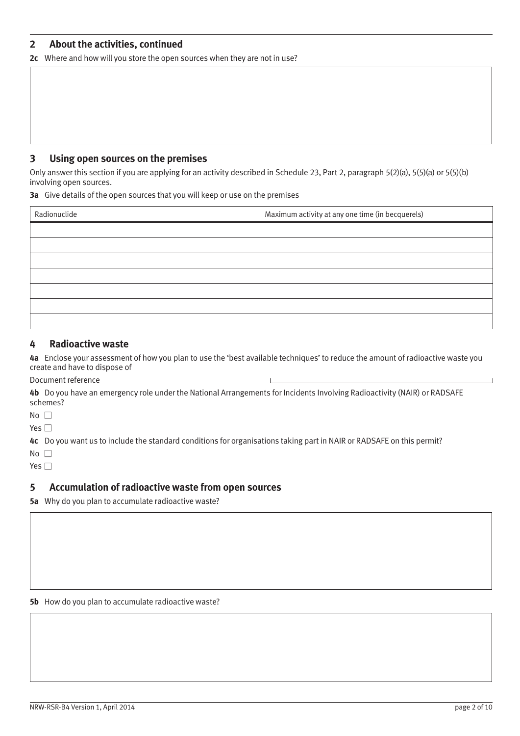## <span id="page-1-0"></span>**2 About the activities, continued**

**2c** Where and how will you store the open sources when they are not in use?

### **3 Using open sources on the premises**

Only answer this section if you are applying for an activity described in Schedule 23, Part 2, paragraph 5(2)(a), 5(5)(a) or 5(5)(b) involving open sources.

**3a** Give details of the open sources that you will keep or use on the premises

| Radionuclide | Maximum activity at any one time (in becquerels) |
|--------------|--------------------------------------------------|
|              |                                                  |
|              |                                                  |
|              |                                                  |
|              |                                                  |
|              |                                                  |
|              |                                                  |
|              |                                                  |

## **4 Radioactive waste**

**4a** Enclose your assessment of how you plan to use the 'best available techniques' to reduce the amount of radioactive waste you create and have to dispose of

Document reference

**4b** Do you have an emergency role under the National Arrangements for Incidents Involving Radioactivity (NAIR) or RADSAFE schemes?

 $No \ \Box$ 

Yes  $\square$ 

**4c** Do you want us to include the standard conditions for organisations taking part in NAIR or RADSAFE on this permit?

No  $\square$ 

Yes  $\Box$ 

## **5 Accumulation of radioactive waste from open sources**

**5a** Why do you plan to accumulate radioactive waste?

**5b** How do you plan to accumulate radioactive waste?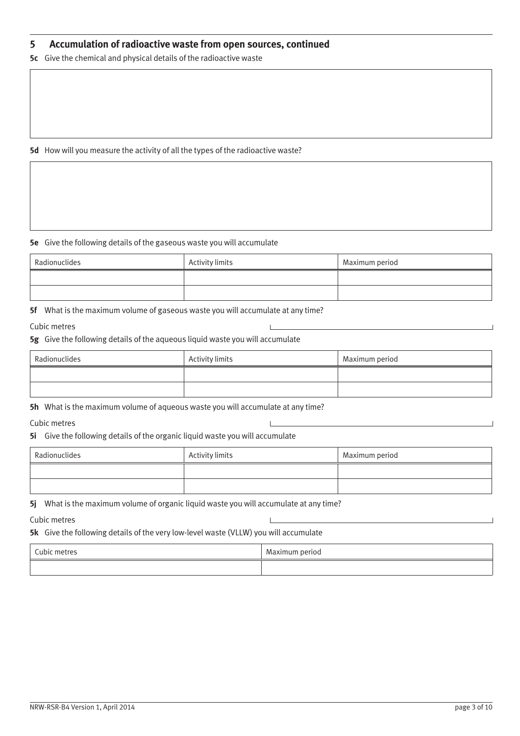## **5 Accumulation of radioactive waste from open sources, continued**

**5c** Give the chemical and physical details of the radioactive waste

**5d** How will you measure the activity of all the types of the radioactive waste?

#### **5e** Give the following details of the gaseous waste you will accumulate

| Radionuclides | Activity limits | Maximum period |
|---------------|-----------------|----------------|
|               |                 |                |
|               |                 |                |

**5f** What is the maximum volume of gaseous waste you will accumulate at any time?

#### Cubic metres

**5g** Give the following details of the aqueous liquid waste you will accumulate

| Radionuclides | Activity limits | Maximum period |
|---------------|-----------------|----------------|
|               |                 |                |
|               |                 |                |

**5h** What is the maximum volume of aqueous waste you will accumulate at any time?

Cubic metres

**5i** Give the following details of the organic liquid waste you will accumulate

| Radionuclides | Activity limits | Maximum period |
|---------------|-----------------|----------------|
|               |                 |                |
|               |                 |                |

**5j** What is the maximum volume of organic liquid waste you will accumulate at any time?

Cubic metres

**5k** Give the following details of the very low-level waste (VLLW) you will accumulate

| Cubic metres | Maximum period |
|--------------|----------------|
|              |                |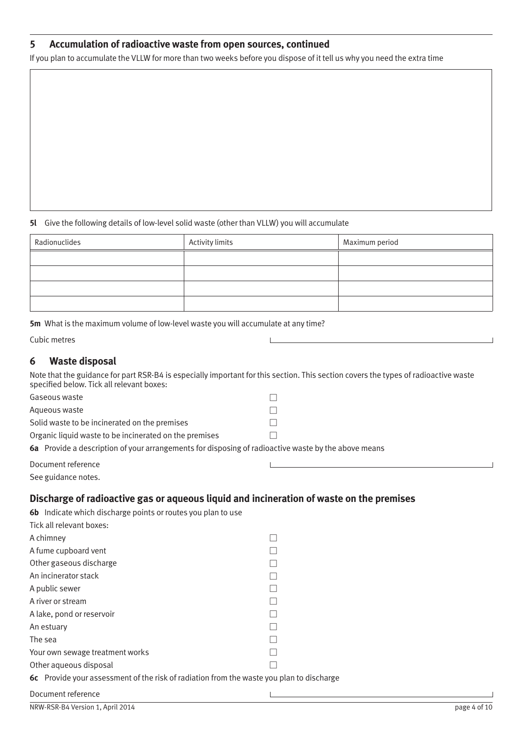# <span id="page-3-0"></span>**5 Accumulation of radioactive waste from open sources, continued**

If you plan to accumulate the VLLW for more than two weeks before you dispose of it tell us why you need the extra time

#### **5l** Give the following details of low-level solid waste (other than VLLW) you will accumulate

| Radionuclides | Activity limits | Maximum period |
|---------------|-----------------|----------------|
|               |                 |                |
|               |                 |                |
|               |                 |                |
|               |                 |                |

**5m** What is the maximum volume of low-level waste you will accumulate at any time?

## **6 Waste disposal**

Note that the guidance for part RSR-B4 is especially important for this section. This section covers the types of radioactive waste specified below. Tick all relevant boxes:

| Gaseous waste                                                                                       |  |  |
|-----------------------------------------------------------------------------------------------------|--|--|
| Aqueous waste                                                                                       |  |  |
| Solid waste to be incinerated on the premises                                                       |  |  |
| Organic liquid waste to be incinerated on the premises                                              |  |  |
| 6a Provide a description of your arrangements for disposing of radioactive waste by the above means |  |  |
| Document reference                                                                                  |  |  |

See guidance notes.

## **Discharge of radioactive gas or aqueous liquid and incineration of waste on the premises**

| 6b Indicate which discharge points or routes you plan to use                             |  |  |
|------------------------------------------------------------------------------------------|--|--|
| Tick all relevant boxes:                                                                 |  |  |
| A chimney                                                                                |  |  |
| A fume cupboard vent                                                                     |  |  |
| Other gaseous discharge                                                                  |  |  |
| An incinerator stack                                                                     |  |  |
| A public sewer                                                                           |  |  |
| A river or stream                                                                        |  |  |
| A lake, pond or reservoir                                                                |  |  |
| An estuary                                                                               |  |  |
| The sea                                                                                  |  |  |
| Your own sewage treatment works                                                          |  |  |
| Other aqueous disposal                                                                   |  |  |
| 6c Provide your assessment of the risk of radiation from the waste you plan to discharge |  |  |
| Document reference                                                                       |  |  |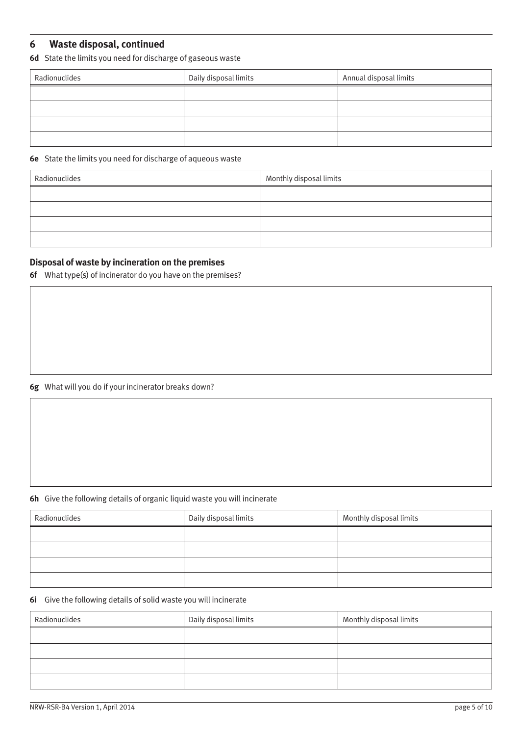# **6 Waste disposal, continued**

**6d** State the limits you need for discharge of gaseous waste

| Radionuclides | Daily disposal limits | Annual disposal limits |
|---------------|-----------------------|------------------------|
|               |                       |                        |
|               |                       |                        |
|               |                       |                        |
|               |                       |                        |

### **6e** State the limits you need for discharge of aqueous waste

| Radionuclides | Monthly disposal limits |
|---------------|-------------------------|
|               |                         |
|               |                         |
|               |                         |
|               |                         |

## **Disposal of waste by incineration on the premises**

**6f** What type(s) of incinerator do you have on the premises?

### **6g** What will you do if your incinerator breaks down?

#### **6h** Give the following details of organic liquid waste you will incinerate

| Radionuclides | Daily disposal limits | Monthly disposal limits |
|---------------|-----------------------|-------------------------|
|               |                       |                         |
|               |                       |                         |
|               |                       |                         |
|               |                       |                         |

### **6i** Give the following details of solid waste you will incinerate

| Radionuclides | Daily disposal limits | Monthly disposal limits |
|---------------|-----------------------|-------------------------|
|               |                       |                         |
|               |                       |                         |
|               |                       |                         |
|               |                       |                         |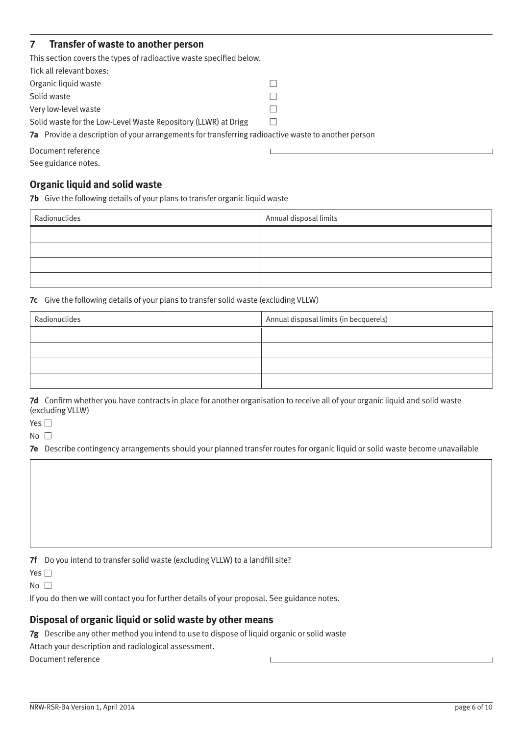# <span id="page-5-0"></span>**7 Transfer of waste to another person**

This section covers the types of radioactive waste specified below.

| Tick all relevant boxes:                                                                           |  |
|----------------------------------------------------------------------------------------------------|--|
| Organic liquid waste                                                                               |  |
| Solid waste                                                                                        |  |
| Very low-level waste                                                                               |  |
| Solid waste for the Low-Level Waste Repository (LLWR) at Drigg                                     |  |
| 7a Provide a description of your arrangements for transferring radioactive waste to another person |  |
| Document reference                                                                                 |  |

See guidance notes.

## **Organic liquid and solid waste**

**7b** Give the following details of your plans to transfer organic liquid waste

| Radionuclides | Annual disposal limits |
|---------------|------------------------|
|               |                        |
|               |                        |
|               |                        |
|               |                        |

**7c** Give the following details of your plans to transfer solid waste (excluding VLLW)

| Radionuclides | Annual disposal limits (in becquerels) |
|---------------|----------------------------------------|
|               |                                        |
|               |                                        |
|               |                                        |
|               |                                        |

**7d** Confirm whether you have contracts in place for another organisation to receive all of your organic liquid and solid waste (excluding VLLW)

Yes  $\square$ 

 $No$ 

**7e** Describe contingency arrangements should your planned transfer routes for organic liquid or solid waste become unavailable

**7f** Do you intend to transfer solid waste (excluding VLLW) to a landfill site?

Yes  $\square$ 

 $No$ 

If you do then we will contact you for further details of your proposal. See guidance notes.

## **Disposal of organic liquid or solid waste by other means**

**7g** Describe any other method you intend to use to dispose of liquid organic or solid waste

Attach your description and radiological assessment.

Document reference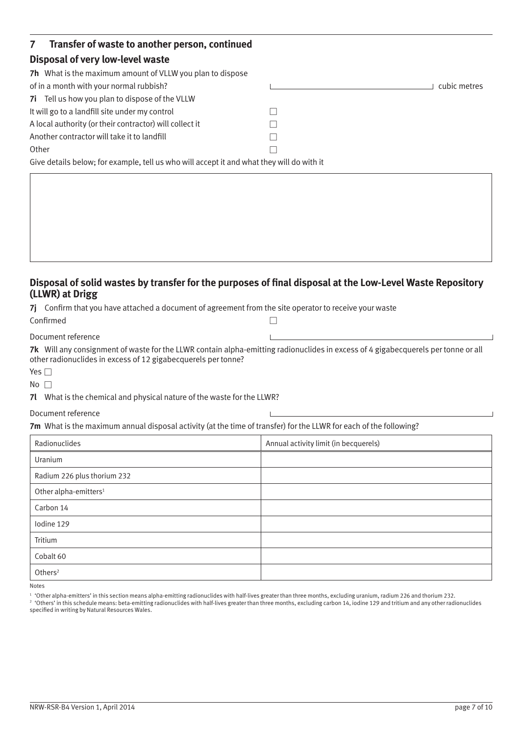| Transfer of waste to another person, continued<br>7 <sup>7</sup>                          |              |
|-------------------------------------------------------------------------------------------|--------------|
| Disposal of very low-level waste                                                          |              |
| <b>7h</b> What is the maximum amount of VLLW you plan to dispose                          |              |
| of in a month with your normal rubbish?                                                   | cubic metres |
| 7i Tell us how you plan to dispose of the VLLW                                            |              |
| It will go to a landfill site under my control                                            |              |
| A local authority (or their contractor) will collect it                                   |              |
| Another contractor will take it to landfill                                               |              |
| Other                                                                                     |              |
| Give details below; for example, tell us who will accept it and what they will do with it |              |

# **Disposal of solid wastes by transfer for the purposes of final disposal at the Low-Level Waste Repository (LLWR) at Drigg**

**7j** Confirm that you have attached a document of agreement from the site operator to receive your waste

| Confirmed          |  |
|--------------------|--|
| Document reference |  |

**7k** Will any consignment of waste for the LLWR contain alpha-emitting radionuclides in excess of 4 gigabecquerels per tonne or all other radionuclides in excess of 12 gigabecquerels per tonne?

| $-$ |  |
|-----|--|
|     |  |

 $No$ 

**7l** What is the chemical and physical nature of the waste for the LLWR?

#### Document reference

**7m** What is the maximum annual disposal activity (at the time of transfer) for the LLWR for each of the following?

| Radionuclides                     | Annual activity limit (in becquerels) |
|-----------------------------------|---------------------------------------|
| Uranium                           |                                       |
| Radium 226 plus thorium 232       |                                       |
| Other alpha-emitters <sup>1</sup> |                                       |
| Carbon 14                         |                                       |
| lodine 129                        |                                       |
| Tritium                           |                                       |
| Cobalt 60                         |                                       |
| Others $2$                        |                                       |

Notes

<sup>1</sup> 'Other alpha-emitters' in this section means alpha-emitting radionuclides with half-lives greater than three months, excluding uranium, radium 226 and thorium 232.

<sup>2</sup> 'Others' in this schedule means: beta-emitting radionuclides with half-lives greater than three months, excluding carbon 14, iodine 129 and tritium and any other radionuclides specified in writing by Natural Resources Wales.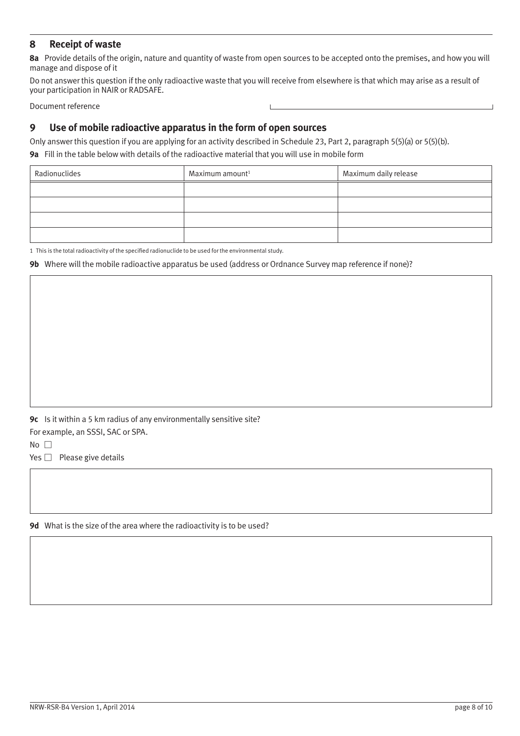## <span id="page-7-0"></span>**8 Receipt of waste**

**8a** Provide details of the origin, nature and quantity of waste from open sources to be accepted onto the premises, and how you will manage and dispose of it

Do not answer this question if the only radioactive waste that you will receive from elsewhere is that which may arise as a result of your participation in NAIR or RADSAFE.

Document reference

## **9 Use of mobile radioactive apparatus in the form of open sources**

Only answer this question if you are applying for an activity described in Schedule 23, Part 2, paragraph 5(5)(a) or 5(5)(b). **9a** Fill in the table below with details of the radioactive material that you will use in mobile form

| Radionuclides | Maximum amount <sup>1</sup> | Maximum daily release |
|---------------|-----------------------------|-----------------------|
|               |                             |                       |
|               |                             |                       |
|               |                             |                       |
|               |                             |                       |

1 This is the total radioactivity of the specified radionuclide to be used for the environmental study.

**9b** Where will the mobile radioactive apparatus be used (address or Ordnance Survey map reference if none)?

**9c** Is it within a 5 km radius of any environmentally sensitive site?

For example, an SSSI, SAC or SPA.

 $No$   $\Box$ 

 $Yes \Box$  Please give details

**9d** What is the size of the area where the radioactivity is to be used?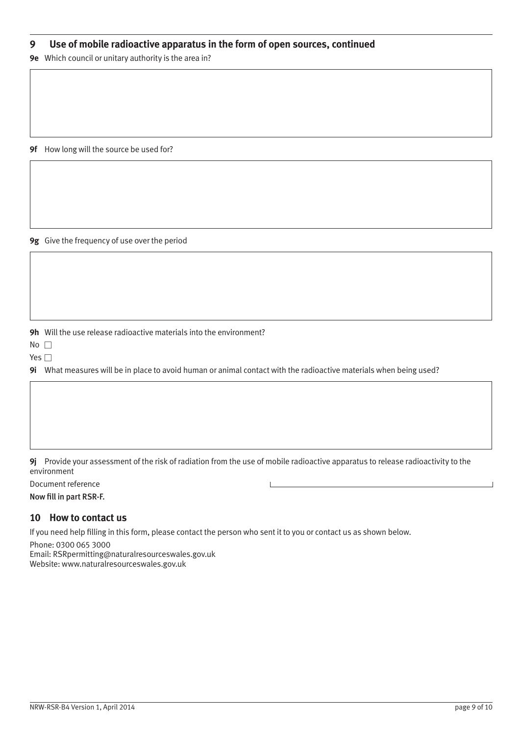## <span id="page-8-0"></span>**9 Use of mobile radioactive apparatus in the form of open sources, continued**

**9e** Which council or unitary authority is the area in?

**9f** How long will the source be used for?

**9g** Give the frequency of use over the period

**9h** Will the use release radioactive materials into the environment?

 $No$ 

Yes  $\square$ 

**9i** What measures will be in place to avoid human or animal contact with the radioactive materials when being used?

**9j** Provide your assessment of the risk of radiation from the use of mobile radioactive apparatus to release radioactivity to the environment

Document reference

Now fill in part RSR-F.

### **10 How to contact us**

If you need help filling in this form, please contact the person who sent it to you or contact us as shown below.

Phone: 0300 065 3000 Email: RSRpermitting@naturalresourceswales.gov.uk Website: www.naturalresourceswales.gov.uk